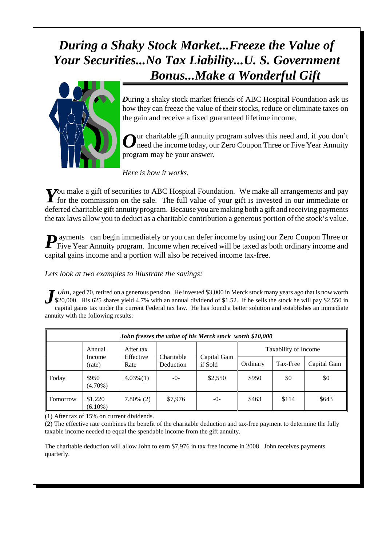## *During a Shaky Stock Market...Freeze the Value of Your Securities...No Tax Liability...U. S. Government Bonus...Make a Wonderful Gift*



*D*uring a shaky stock market friends of ABC Hospital Foundation ask us how they can freeze the value of their stocks, reduce or eliminate taxes on the gain and receive a fixed guaranteed lifetime income.

*O* ur charitable gift annuity program solves this need and, if you don't need the income today, our Zero Coupon Three or Five Year Annuity program may be your answer.

*Here is how it works.*

*Y ou* make a gift of securities to ABC Hospital Foundation. We make all arrangements and pay
for the commission on the sale. The full value of your gift is invested in our immediate or for the commission on the sale. The full value of your gift is invested in our immediate or deferred charitable gift annuity program. Because you are making both a gift and receiving payments the tax laws allow you to deduct as a charitable contribution a generous portion of the stock's value.

*P* ayments can begin immediately or you can defer income by using our Zero Coupon Three or Five Year Annuity program. Income when received will be taxed as both ordinary income and capital gains income and a portion will also be received income tax-free.

*Lets look at two examples to illustrate the savings:*

*J ohn,* aged 70, retired on a generous pension. He invested \$3,000 in Merck stock many years ago that is now worth \$20,000. His 625 shares yield 4.7% with an annual dividend of \$1.52. If he sells the stock he will pay \$2,550 in capital gains tax under the current Federal tax law. He has found a better solution and establishes an immediate annuity with the following results:

| John freezes the value of his Merck stock worth \$10,000 |                                                                                         |              |                         |          |                      |              |       |
|----------------------------------------------------------|-----------------------------------------------------------------------------------------|--------------|-------------------------|----------|----------------------|--------------|-------|
|                                                          | After tax<br>Annual<br>Effective<br>Charitable<br>Income<br>Deduction<br>Rate<br>(rate) |              |                         |          | Taxability of Income |              |       |
|                                                          |                                                                                         |              | Capital Gain<br>if Sold | Ordinary | Tax-Free             | Capital Gain |       |
| Today                                                    | \$950<br>$(4.70\%)$                                                                     | $4.03\%(1)$  | $-0-$                   | \$2,550  | \$950                | \$0          | \$0   |
| Tomorrow                                                 | \$1,220<br>$(6.10\%)$                                                                   | $7.80\%$ (2) | \$7,976                 | $-0-$    | \$463                | \$114        | \$643 |

(1) After tax of 15% on current dividends.

(2) The effective rate combines the benefit of the charitable deduction and tax-free payment to determine the fully taxable income needed to equal the spendable income from the gift annuity.

The charitable deduction will allow John to earn \$7,976 in tax free income in 2008. John receives payments quarterly.